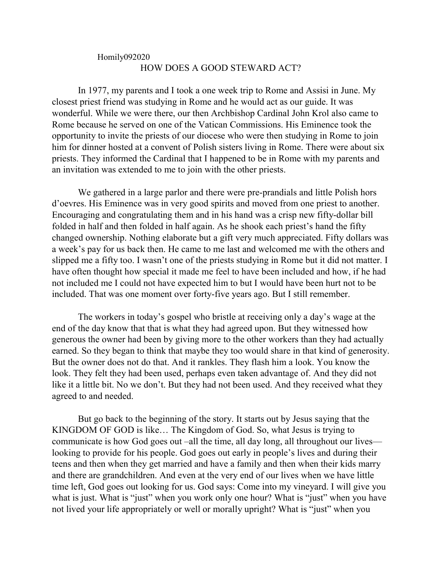## Homily092020 HOW DOES A GOOD STEWARD ACT?

In 1977, my parents and I took a one week trip to Rome and Assisi in June. My closest priest friend was studying in Rome and he would act as our guide. It was wonderful. While we were there, our then Archbishop Cardinal John Krol also came to Rome because he served on one of the Vatican Commissions. His Eminence took the opportunity to invite the priests of our diocese who were then studying in Rome to join him for dinner hosted at a convent of Polish sisters living in Rome. There were about six priests. They informed the Cardinal that I happened to be in Rome with my parents and an invitation was extended to me to join with the other priests.

We gathered in a large parlor and there were pre-prandials and little Polish hors d'oevres. His Eminence was in very good spirits and moved from one priest to another. Encouraging and congratulating them and in his hand was a crisp new fifty-dollar bill folded in half and then folded in half again. As he shook each priest's hand the fifty changed ownership. Nothing elaborate but a gift very much appreciated. Fifty dollars was a week's pay for us back then. He came to me last and welcomed me with the others and slipped me a fifty too. I wasn't one of the priests studying in Rome but it did not matter. I have often thought how special it made me feel to have been included and how, if he had not included me I could not have expected him to but I would have been hurt not to be included. That was one moment over forty-five years ago. But I still remember.

The workers in today's gospel who bristle at receiving only a day's wage at the end of the day know that that is what they had agreed upon. But they witnessed how generous the owner had been by giving more to the other workers than they had actually earned. So they began to think that maybe they too would share in that kind of generosity. But the owner does not do that. And it rankles. They flash him a look. You know the look. They felt they had been used, perhaps even taken advantage of. And they did not like it a little bit. No we don't. But they had not been used. And they received what they agreed to and needed.

But go back to the beginning of the story. It starts out by Jesus saying that the KINGDOM OF GOD is like… The Kingdom of God. So, what Jesus is trying to communicate is how God goes out –all the time, all day long, all throughout our lives looking to provide for his people. God goes out early in people's lives and during their teens and then when they get married and have a family and then when their kids marry and there are grandchildren. And even at the very end of our lives when we have little time left, God goes out looking for us. God says: Come into my vineyard. I will give you what is just. What is "just" when you work only one hour? What is "just" when you have not lived your life appropriately or well or morally upright? What is "just" when you